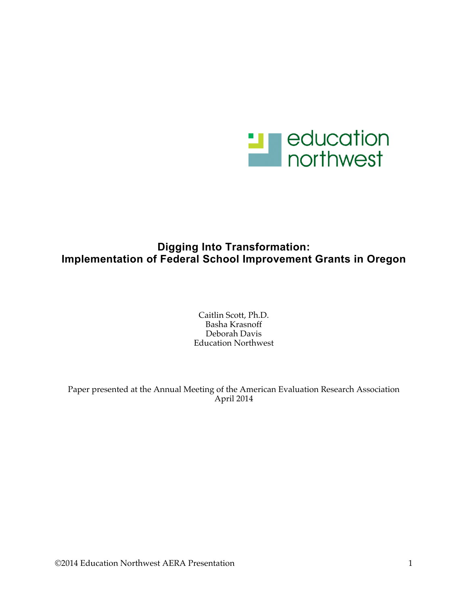

# **Digging Into Transformation: Implementation of Federal School Improvement Grants in Oregon**

Caitlin Scott, Ph.D. Basha Krasnoff Deborah Davis Education Northwest

Paper presented at the Annual Meeting of the American Evaluation Research Association April 2014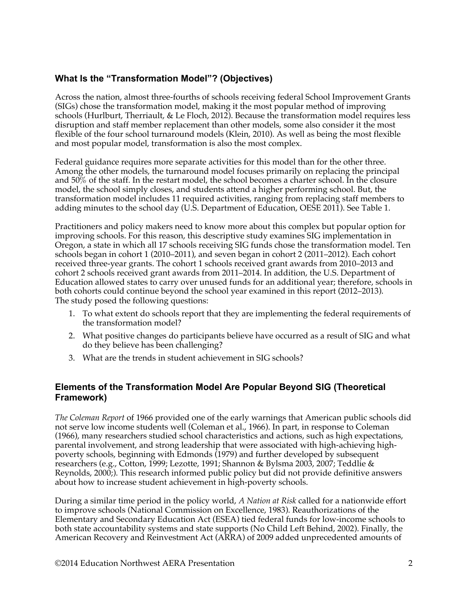# **What Is the "Transformation Model"? (Objectives)**

Across the nation, almost three-fourths of schools receiving federal School Improvement Grants (SIGs) chose the transformation model, making it the most popular method of improving schools (Hurlburt, Therriault, & Le Floch, 2012). Because the transformation model requires less disruption and staff member replacement than other models, some also consider it the most flexible of the four school turnaround models (Klein, 2010). As well as being the most flexible and most popular model, transformation is also the most complex.

Federal guidance requires more separate activities for this model than for the other three. Among the other models, the turnaround model focuses primarily on replacing the principal and 50% of the staff. In the restart model, the school becomes a charter school. In the closure model, the school simply closes, and students attend a higher performing school. But, the transformation model includes 11 required activities, ranging from replacing staff members to adding minutes to the school day (U.S. Department of Education, OESE 2011). See Table 1.

Practitioners and policy makers need to know more about this complex but popular option for improving schools. For this reason, this descriptive study examines SIG implementation in Oregon, a state in which all 17 schools receiving SIG funds chose the transformation model. Ten schools began in cohort 1 (2010–2011), and seven began in cohort 2 (2011–2012). Each cohort received three-year grants. The cohort 1 schools received grant awards from 2010–2013 and cohort 2 schools received grant awards from 2011–2014. In addition, the U.S. Department of Education allowed states to carry over unused funds for an additional year; therefore, schools in both cohorts could continue beyond the school year examined in this report (2012–2013). The study posed the following questions:

- 1. To what extent do schools report that they are implementing the federal requirements of the transformation model?
- 2. What positive changes do participants believe have occurred as a result of SIG and what do they believe has been challenging?
- 3. What are the trends in student achievement in SIG schools?

## **Elements of the Transformation Model Are Popular Beyond SIG (Theoretical Framework)**

*The Coleman Report* of 1966 provided one of the early warnings that American public schools did not serve low income students well (Coleman et al., 1966). In part, in response to Coleman (1966), many researchers studied school characteristics and actions, such as high expectations, parental involvement, and strong leadership that were associated with high-achieving highpoverty schools, beginning with Edmonds (1979) and further developed by subsequent researchers (e.g., Cotton, 1999; Lezotte, 1991; Shannon & Bylsma 2003, 2007; Teddlie & Reynolds, 2000;). This research informed public policy but did not provide definitive answers about how to increase student achievement in high-poverty schools.

During a similar time period in the policy world, *A Nation at Risk* called for a nationwide effort to improve schools (National Commission on Excellence, 1983). Reauthorizations of the Elementary and Secondary Education Act (ESEA) tied federal funds for low-income schools to both state accountability systems and state supports (No Child Left Behind, 2002). Finally, the American Recovery and Reinvestment Act (ARRA) of 2009 added unprecedented amounts of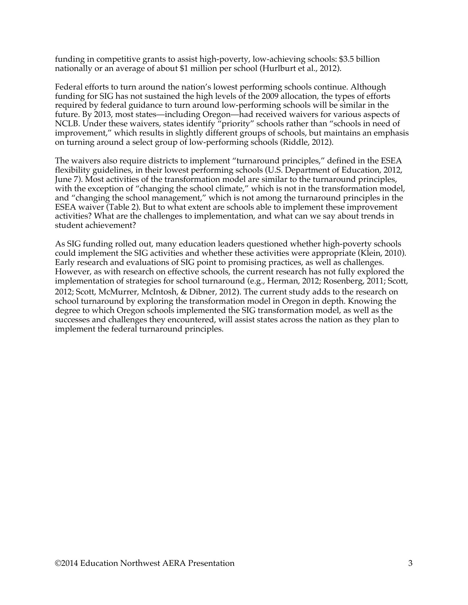funding in competitive grants to assist high-poverty, low-achieving schools: \$3.5 billion nationally or an average of about \$1 million per school (Hurlburt et al., 2012).

Federal efforts to turn around the nation's lowest performing schools continue. Although funding for SIG has not sustained the high levels of the 2009 allocation, the types of efforts required by federal guidance to turn around low-performing schools will be similar in the future. By 2013, most states—including Oregon—had received waivers for various aspects of NCLB. Under these waivers, states identify "priority" schools rather than "schools in need of improvement," which results in slightly different groups of schools, but maintains an emphasis on turning around a select group of low-performing schools (Riddle, 2012).

The waivers also require districts to implement "turnaround principles," defined in the ESEA flexibility guidelines, in their lowest performing schools (U.S. Department of Education, 2012, June 7). Most activities of the transformation model are similar to the turnaround principles, with the exception of "changing the school climate," which is not in the transformation model, and "changing the school management," which is not among the turnaround principles in the ESEA waiver (Table 2). But to what extent are schools able to implement these improvement activities? What are the challenges to implementation, and what can we say about trends in student achievement?

As SIG funding rolled out, many education leaders questioned whether high-poverty schools could implement the SIG activities and whether these activities were appropriate (Klein, 2010). Early research and evaluations of SIG point to promising practices, as well as challenges. However, as with research on effective schools, the current research has not fully explored the implementation of strategies for school turnaround (e.g., Herman, 2012; Rosenberg, 2011; Scott, 2012; Scott, McMurrer, McIntosh, & Dibner, 2012). The current study adds to the research on school turnaround by exploring the transformation model in Oregon in depth. Knowing the degree to which Oregon schools implemented the SIG transformation model, as well as the successes and challenges they encountered, will assist states across the nation as they plan to implement the federal turnaround principles.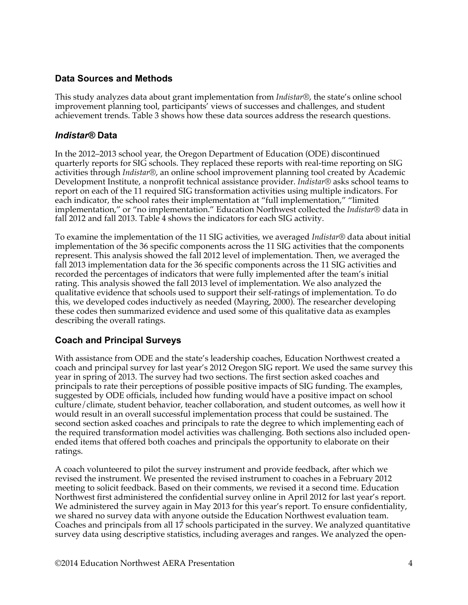### **Data Sources and Methods**

This study analyzes data about grant implementation from *Indistar®*, the state's online school improvement planning tool, participants' views of successes and challenges, and student achievement trends. Table 3 shows how these data sources address the research questions.

#### *Indistar®* **Data**

In the 2012–2013 school year, the Oregon Department of Education (ODE) discontinued quarterly reports for SIG schools. They replaced these reports with real-time reporting on SIG activities through *Indistar®*, an online school improvement planning tool created by Academic Development Institute, a nonprofit technical assistance provider. *Indistar®* asks school teams to report on each of the 11 required SIG transformation activities using multiple indicators. For each indicator, the school rates their implementation at "full implementation," "limited implementation," or "no implementation." Education Northwest collected the *Indistar®* data in fall 2012 and fall 2013. Table 4 shows the indicators for each SIG activity.

To examine the implementation of the 11 SIG activities, we averaged *Indistar®* data about initial implementation of the 36 specific components across the 11 SIG activities that the components represent. This analysis showed the fall 2012 level of implementation. Then, we averaged the fall 2013 implementation data for the 36 specific components across the 11 SIG activities and recorded the percentages of indicators that were fully implemented after the team's initial rating. This analysis showed the fall 2013 level of implementation. We also analyzed the qualitative evidence that schools used to support their self-ratings of implementation. To do this, we developed codes inductively as needed (Mayring, 2000). The researcher developing these codes then summarized evidence and used some of this qualitative data as examples describing the overall ratings.

#### **Coach and Principal Surveys**

With assistance from ODE and the state's leadership coaches, Education Northwest created a coach and principal survey for last year's 2012 Oregon SIG report. We used the same survey this year in spring of 2013. The survey had two sections. The first section asked coaches and principals to rate their perceptions of possible positive impacts of SIG funding. The examples, suggested by ODE officials, included how funding would have a positive impact on school culture/climate, student behavior, teacher collaboration, and student outcomes, as well how it would result in an overall successful implementation process that could be sustained. The second section asked coaches and principals to rate the degree to which implementing each of the required transformation model activities was challenging. Both sections also included openended items that offered both coaches and principals the opportunity to elaborate on their ratings.

A coach volunteered to pilot the survey instrument and provide feedback, after which we revised the instrument. We presented the revised instrument to coaches in a February 2012 meeting to solicit feedback. Based on their comments, we revised it a second time. Education Northwest first administered the confidential survey online in April 2012 for last year's report. We administered the survey again in May 2013 for this year's report. To ensure confidentiality, we shared no survey data with anyone outside the Education Northwest evaluation team. Coaches and principals from all 17 schools participated in the survey. We analyzed quantitative survey data using descriptive statistics, including averages and ranges. We analyzed the open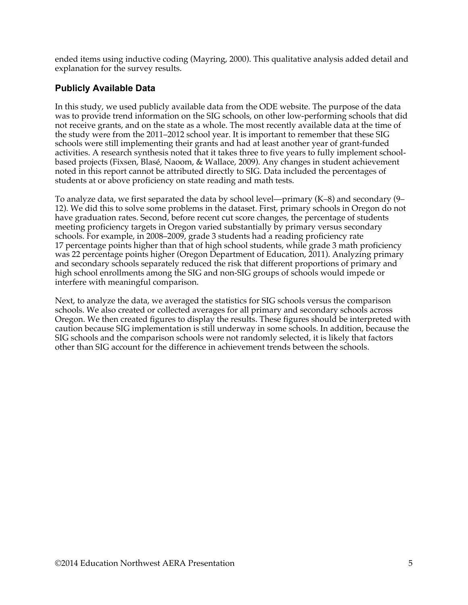ended items using inductive coding (Mayring, 2000). This qualitative analysis added detail and explanation for the survey results.

## **Publicly Available Data**

In this study, we used publicly available data from the ODE website. The purpose of the data was to provide trend information on the SIG schools, on other low-performing schools that did not receive grants, and on the state as a whole. The most recently available data at the time of the study were from the 2011–2012 school year. It is important to remember that these SIG schools were still implementing their grants and had at least another year of grant-funded activities. A research synthesis noted that it takes three to five years to fully implement schoolbased projects (Fixsen, Blasé, Naoom, & Wallace, 2009). Any changes in student achievement noted in this report cannot be attributed directly to SIG. Data included the percentages of students at or above proficiency on state reading and math tests.

To analyze data, we first separated the data by school level—primary (K–8) and secondary (9– 12). We did this to solve some problems in the dataset. First, primary schools in Oregon do not have graduation rates. Second, before recent cut score changes, the percentage of students meeting proficiency targets in Oregon varied substantially by primary versus secondary schools. For example, in 2008–2009, grade 3 students had a reading proficiency rate 17 percentage points higher than that of high school students, while grade 3 math proficiency was 22 percentage points higher (Oregon Department of Education, 2011). Analyzing primary and secondary schools separately reduced the risk that different proportions of primary and high school enrollments among the SIG and non-SIG groups of schools would impede or interfere with meaningful comparison.

Next, to analyze the data, we averaged the statistics for SIG schools versus the comparison schools. We also created or collected averages for all primary and secondary schools across Oregon. We then created figures to display the results. These figures should be interpreted with caution because SIG implementation is still underway in some schools. In addition, because the SIG schools and the comparison schools were not randomly selected, it is likely that factors other than SIG account for the difference in achievement trends between the schools.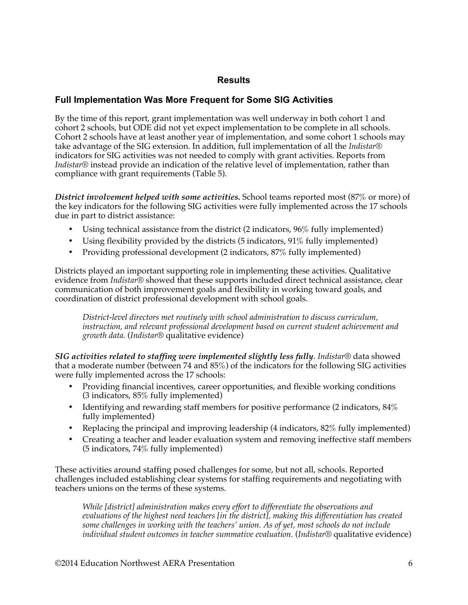### **Results**

### **Full Implementation Was More Frequent for Some SIG Activities**

By the time of this report, grant implementation was well underway in both cohort 1 and cohort 2 schools, but ODE did not yet expect implementation to be complete in all schools. Cohort 2 schools have at least another year of implementation, and some cohort 1 schools may take advantage of the SIG extension. In addition, full implementation of all the *Indistar®*  indicators for SIG activities was not needed to comply with grant activities. Reports from *Indistar®* instead provide an indication of the relative level of implementation, rather than compliance with grant requirements (Table 5).

*District involvement helped with some activities.* School teams reported most (87% or more) of the key indicators for the following SIG activities were fully implemented across the 17 schools due in part to district assistance:

- Using technical assistance from the district (2 indicators,  $96\%$  fully implemented)
- Using flexibility provided by the districts (5 indicators, 91% fully implemented)
- Providing professional development (2 indicators, 87% fully implemented)

Districts played an important supporting role in implementing these activities. Qualitative evidence from *Indistar®* showed that these supports included direct technical assistance, clear communication of both improvement goals and flexibility in working toward goals, and coordination of district professional development with school goals.

*District-level directors met routinely with school administration to discuss curriculum, instruction, and relevant professional development based on current student achievement and growth data.* (*Indistar®* qualitative evidence)

*SIG activities related to staffing were implemented slightly less fully*. *Indistar®* data showed that a moderate number (between 74 and 85%) of the indicators for the following SIG activities were fully implemented across the 17 schools:

- Providing financial incentives, career opportunities, and flexible working conditions (3 indicators, 85% fully implemented)
- Identifying and rewarding staff members for positive performance (2 indicators,  $84\%$ ) fully implemented)
- Replacing the principal and improving leadership (4 indicators, 82% fully implemented)
- Creating a teacher and leader evaluation system and removing ineffective staff members (5 indicators, 74% fully implemented)

These activities around staffing posed challenges for some, but not all, schools. Reported challenges included establishing clear systems for staffing requirements and negotiating with teachers unions on the terms of these systems.

*While [district] administration makes every effort to differentiate the observations and evaluations of the highest need teachers [in the district], making this differentiation has created some challenges in working with the teachers' union. As of yet, most schools do not include individual student outcomes in teacher summative evaluation.* (*Indistar®* qualitative evidence)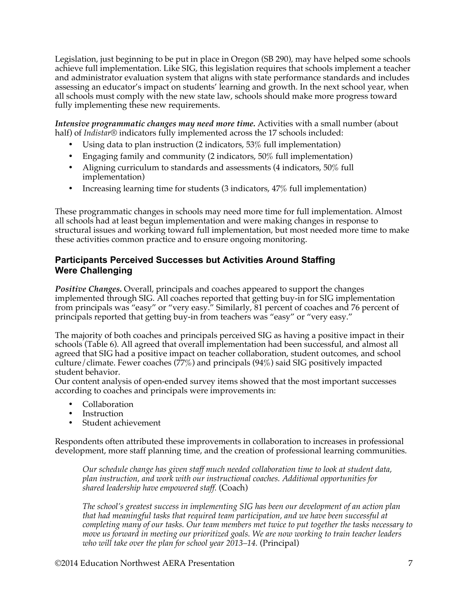Legislation, just beginning to be put in place in Oregon (SB 290), may have helped some schools achieve full implementation. Like SIG, this legislation requires that schools implement a teacher and administrator evaluation system that aligns with state performance standards and includes assessing an educator's impact on students' learning and growth. In the next school year, when all schools must comply with the new state law, schools should make more progress toward fully implementing these new requirements.

*Intensive programmatic changes may need more time.* Activities with a small number (about half) of *Indistar®* indicators fully implemented across the 17 schools included:

- Using data to plan instruction (2 indicators, 53% full implementation)
- Engaging family and community (2 indicators, 50% full implementation)
- Aligning curriculum to standards and assessments (4 indicators, 50% full implementation)
- Increasing learning time for students (3 indicators, 47% full implementation)

These programmatic changes in schools may need more time for full implementation. Almost all schools had at least begun implementation and were making changes in response to structural issues and working toward full implementation, but most needed more time to make these activities common practice and to ensure ongoing monitoring.

### **Participants Perceived Successes but Activities Around Staffing Were Challenging**

*Positive Changes.* Overall, principals and coaches appeared to support the changes implemented through SIG. All coaches reported that getting buy-in for SIG implementation from principals was "easy" or "very easy." Similarly, 81 percent of coaches and 76 percent of principals reported that getting buy-in from teachers was "easy" or "very easy."

The majority of both coaches and principals perceived SIG as having a positive impact in their schools (Table 6). All agreed that overall implementation had been successful, and almost all agreed that SIG had a positive impact on teacher collaboration, student outcomes, and school culture/climate. Fewer coaches  $(77%)$  and principals  $(94%)$  said SIG positively impacted student behavior.

Our content analysis of open-ended survey items showed that the most important successes according to coaches and principals were improvements in:

- Collaboration
- **Instruction**
- Student achievement

Respondents often attributed these improvements in collaboration to increases in professional development, more staff planning time, and the creation of professional learning communities.

*Our schedule change has given staff much needed collaboration time to look at student data, plan instruction, and work with our instructional coaches. Additional opportunities for shared leadership have empowered staff.* (Coach)

*The school's greatest success in implementing SIG has been our development of an action plan that had meaningful tasks that required team participation, and we have been successful at completing many of our tasks. Our team members met twice to put together the tasks necessary to move us forward in meeting our prioritized goals. We are now working to train teacher leaders who will take over the plan for school year 2013–14.* (Principal)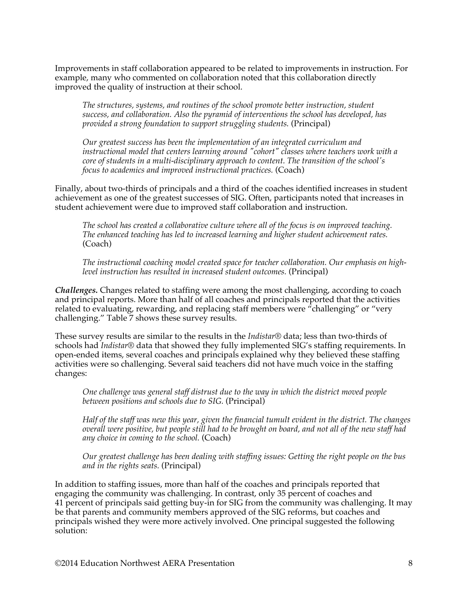Improvements in staff collaboration appeared to be related to improvements in instruction. For example, many who commented on collaboration noted that this collaboration directly improved the quality of instruction at their school.

*The structures, systems, and routines of the school promote better instruction, student success, and collaboration. Also the pyramid of interventions the school has developed, has provided a strong foundation to support struggling students.* (Principal)

*Our greatest success has been the implementation of an integrated curriculum and instructional model that centers learning around "cohort" classes where teachers work with a core of students in a multi-disciplinary approach to content. The transition of the school's focus to academics and improved instructional practices.* (Coach)

Finally, about two-thirds of principals and a third of the coaches identified increases in student achievement as one of the greatest successes of SIG. Often, participants noted that increases in student achievement were due to improved staff collaboration and instruction.

*The school has created a collaborative culture where all of the focus is on improved teaching. The enhanced teaching has led to increased learning and higher student achievement rates.*  (Coach)

*The instructional coaching model created space for teacher collaboration. Our emphasis on highlevel instruction has resulted in increased student outcomes.* (Principal)

*Challenges.* Changes related to staffing were among the most challenging, according to coach and principal reports. More than half of all coaches and principals reported that the activities related to evaluating, rewarding, and replacing staff members were "challenging" or "very challenging." Table 7 shows these survey results.

These survey results are similar to the results in the *Indistar®* data; less than two-thirds of schools had *Indistar®* data that showed they fully implemented SIG's staffing requirements. In open-ended items, several coaches and principals explained why they believed these staffing activities were so challenging. Several said teachers did not have much voice in the staffing changes:

*One challenge was general staff distrust due to the way in which the district moved people between positions and schools due to SIG.* (Principal)

*Half of the staff was new this year, given the financial tumult evident in the district. The changes overall were positive, but people still had to be brought on board, and not all of the new staff had any choice in coming to the school.* (Coach)

*Our greatest challenge has been dealing with staffing issues: Getting the right people on the bus and in the rights seats.* (Principal)

In addition to staffing issues, more than half of the coaches and principals reported that engaging the community was challenging. In contrast, only 35 percent of coaches and 41 percent of principals said getting buy-in for SIG from the community was challenging. It may be that parents and community members approved of the SIG reforms, but coaches and principals wished they were more actively involved. One principal suggested the following solution: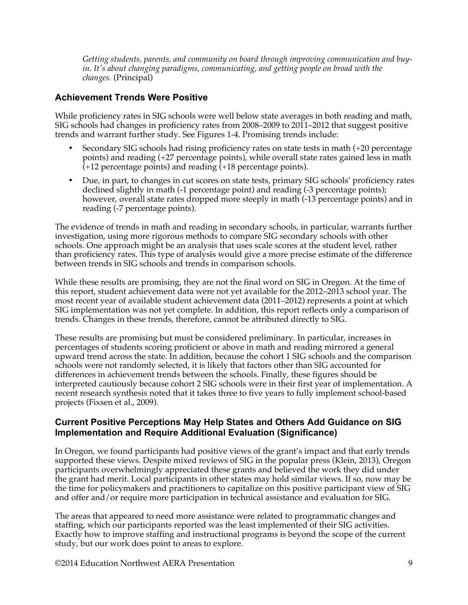*Getting students, parents, and community on board through improving communication and buyin. It's about changing paradigms, communicating, and getting people on broad with the changes.* (Principal)

## **Achievement Trends Were Positive**

While proficiency rates in SIG schools were well below state averages in both reading and math, SIG schools had changes in proficiency rates from 2008–2009 to 2011–2012 that suggest positive trends and warrant further study. See Figures 1-4. Promising trends include:

- Secondary SIG schools had rising proficiency rates on state tests in math (+20 percentage points) and reading (+27 percentage points), while overall state rates gained less in math (+12 percentage points) and reading (+18 percentage points).
- Due, in part, to changes in cut scores on state tests, primary SIG schools' proficiency rates declined slightly in math (-1 percentage point) and reading (-3 percentage points); however, overall state rates dropped more steeply in math (-13 percentage points) and in reading (-7 percentage points).

The evidence of trends in math and reading in secondary schools, in particular, warrants further investigation, using more rigorous methods to compare SIG secondary schools with other schools. One approach might be an analysis that uses scale scores at the student level, rather than proficiency rates. This type of analysis would give a more precise estimate of the difference between trends in SIG schools and trends in comparison schools.

While these results are promising, they are not the final word on SIG in Oregon. At the time of this report, student achievement data were not yet available for the 2012–2013 school year. The most recent year of available student achievement data (2011–2012) represents a point at which SIG implementation was not yet complete. In addition, this report reflects only a comparison of trends. Changes in these trends, therefore, cannot be attributed directly to SIG.

These results are promising but must be considered preliminary. In particular, increases in percentages of students scoring proficient or above in math and reading mirrored a general upward trend across the state. In addition, because the cohort 1 SIG schools and the comparison schools were not randomly selected, it is likely that factors other than SIG accounted for differences in achievement trends between the schools. Finally, these figures should be interpreted cautiously because cohort 2 SIG schools were in their first year of implementation. A recent research synthesis noted that it takes three to five years to fully implement school-based projects (Fixsen et al., 2009).

#### **Current Positive Perceptions May Help States and Others Add Guidance on SIG Implementation and Require Additional Evaluation (Significance)**

In Oregon, we found participants had positive views of the grant's impact and that early trends supported these views. Despite mixed reviews of SIG in the popular press (Klein, 2013), Oregon participants overwhelmingly appreciated these grants and believed the work they did under the grant had merit. Local participants in other states may hold similar views. If so, now may be the time for policymakers and practitioners to capitalize on this positive participant view of SIG and offer and/or require more participation in technical assistance and evaluation for SIG.

The areas that appeared to need more assistance were related to programmatic changes and staffing, which our participants reported was the least implemented of their SIG activities. Exactly how to improve staffing and instructional programs is beyond the scope of the current study, but our work does point to areas to explore.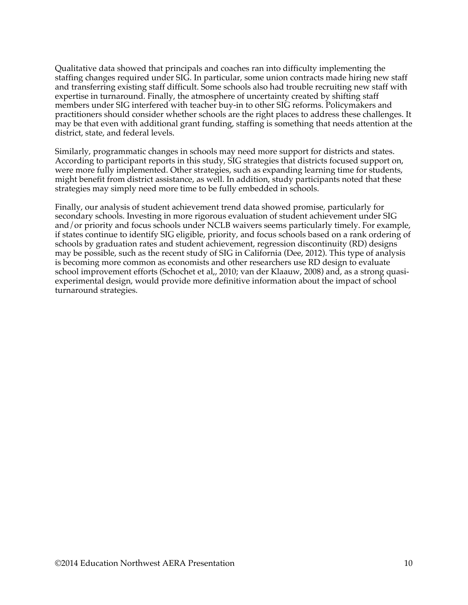Qualitative data showed that principals and coaches ran into difficulty implementing the staffing changes required under SIG. In particular, some union contracts made hiring new staff and transferring existing staff difficult. Some schools also had trouble recruiting new staff with expertise in turnaround. Finally, the atmosphere of uncertainty created by shifting staff members under SIG interfered with teacher buy-in to other SIG reforms. Policymakers and practitioners should consider whether schools are the right places to address these challenges. It may be that even with additional grant funding, staffing is something that needs attention at the district, state, and federal levels.

Similarly, programmatic changes in schools may need more support for districts and states. According to participant reports in this study, SIG strategies that districts focused support on, were more fully implemented. Other strategies, such as expanding learning time for students, might benefit from district assistance, as well. In addition, study participants noted that these strategies may simply need more time to be fully embedded in schools.

Finally, our analysis of student achievement trend data showed promise, particularly for secondary schools. Investing in more rigorous evaluation of student achievement under SIG and/or priority and focus schools under NCLB waivers seems particularly timely. For example, if states continue to identify SIG eligible, priority, and focus schools based on a rank ordering of schools by graduation rates and student achievement, regression discontinuity (RD) designs may be possible, such as the recent study of SIG in California (Dee, 2012). This type of analysis is becoming more common as economists and other researchers use RD design to evaluate school improvement efforts (Schochet et al,, 2010; van der Klaauw, 2008) and, as a strong quasiexperimental design, would provide more definitive information about the impact of school turnaround strategies.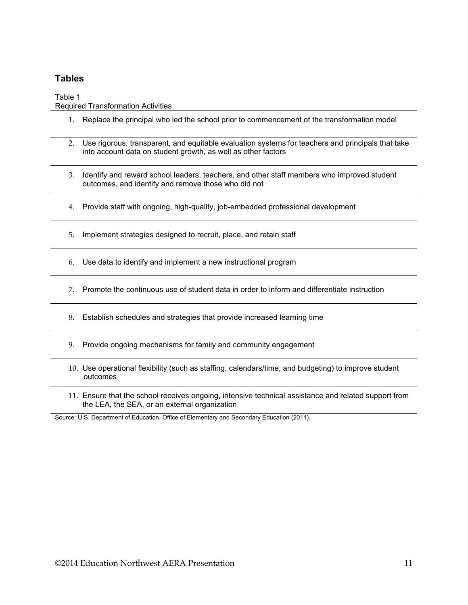### **Tables**

Table 1 Required Transformation Activities

- 1. Replace the principal who led the school prior to commencement of the transformation model
- 2. Use rigorous, transparent, and equitable evaluation systems for teachers and principals that take into account data on student growth, as well as other factors
- 3. Identify and reward school leaders, teachers, and other staff members who improved student outcomes, and identify and remove those who did not
- 4. Provide staff with ongoing, high-quality, job-embedded professional development
- 5. Implement strategies designed to recruit, place, and retain staff
- 6. Use data to identify and implement a new instructional program
- 7. Promote the continuous use of student data in order to inform and differentiate instruction
- 8. Establish schedules and strategies that provide increased learning time
- 9. Provide ongoing mechanisms for family and community engagement
- 10. Use operational flexibility (such as staffing, calendars/time, and budgeting) to improve student outcomes
- 11. Ensure that the school receives ongoing, intensive technical assistance and related support from the LEA, the SEA, or an external organization

Source: U.S. Department of Education, Office of Elementary and Secondary Education (2011).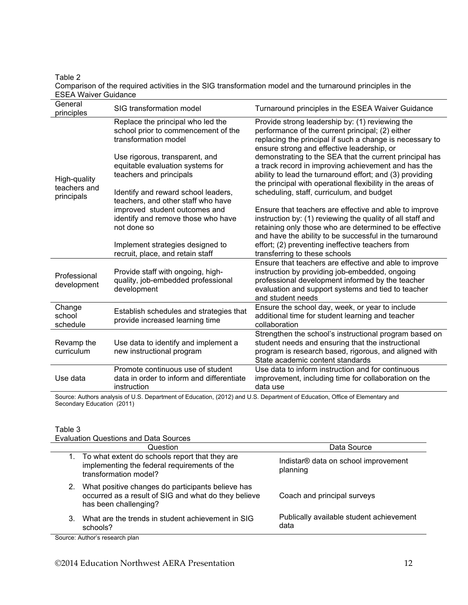Table 2 Comparison of the required activities in the SIG transformation model and the turnaround principles in the ESEA Waiver Guidance

| General<br>principles                      | SIG transformation model                                                                         | Turnaround principles in the ESEA Waiver Guidance                                                                                                                                                                                          |
|--------------------------------------------|--------------------------------------------------------------------------------------------------|--------------------------------------------------------------------------------------------------------------------------------------------------------------------------------------------------------------------------------------------|
| High-quality<br>teachers and<br>principals | Replace the principal who led the<br>school prior to commencement of the<br>transformation model | Provide strong leadership by: (1) reviewing the<br>performance of the current principal; (2) either<br>replacing the principal if such a change is necessary to<br>ensure strong and effective leadership, or                              |
|                                            | Use rigorous, transparent, and<br>equitable evaluation systems for<br>teachers and principals    | demonstrating to the SEA that the current principal has<br>a track record in improving achievement and has the<br>ability to lead the turnaround effort; and (3) providing<br>the principal with operational flexibility in the areas of   |
|                                            | Identify and reward school leaders,<br>teachers, and other staff who have                        | scheduling, staff, curriculum, and budget                                                                                                                                                                                                  |
|                                            | improved student outcomes and<br>identify and remove those who have<br>not done so               | Ensure that teachers are effective and able to improve<br>instruction by: (1) reviewing the quality of all staff and<br>retaining only those who are determined to be effective<br>and have the ability to be successful in the turnaround |
|                                            | Implement strategies designed to<br>recruit, place, and retain staff                             | effort; (2) preventing ineffective teachers from<br>transferring to these schools                                                                                                                                                          |
| Professional<br>development                | Provide staff with ongoing, high-<br>quality, job-embedded professional<br>development           | Ensure that teachers are effective and able to improve<br>instruction by providing job-embedded, ongoing<br>professional development informed by the teacher<br>evaluation and support systems and tied to teacher<br>and student needs    |
| Change<br>school<br>schedule               | Establish schedules and strategies that<br>provide increased learning time                       | Ensure the school day, week, or year to include<br>additional time for student learning and teacher<br>collaboration                                                                                                                       |
| Revamp the<br>curriculum                   | Use data to identify and implement a<br>new instructional program                                | Strengthen the school's instructional program based on<br>student needs and ensuring that the instructional<br>program is research based, rigorous, and aligned with<br>State academic content standards                                   |
| Use data                                   | Promote continuous use of student<br>data in order to inform and differentiate<br>instruction    | Use data to inform instruction and for continuous<br>improvement, including time for collaboration on the<br>data use                                                                                                                      |
|                                            |                                                                                                  |                                                                                                                                                                                                                                            |

Source: Authors analysis of U.S. Department of Education, (2012) and U.S. Department of Education, Office of Elementary and Secondary Education (2011)

#### Table 3

Evaluation Questions and Data Sources

|    | Question                                                                                                                           | Data Source                                      |
|----|------------------------------------------------------------------------------------------------------------------------------------|--------------------------------------------------|
|    | 1. To what extent do schools report that they are<br>implementing the federal requirements of the<br>transformation model?         | Indistar® data on school improvement<br>planning |
| 2. | What positive changes do participants believe has<br>occurred as a result of SIG and what do they believe<br>has been challenging? | Coach and principal surveys                      |
| 3. | What are the trends in student achievement in SIG<br>schools?                                                                      | Publically available student achievement<br>data |
|    |                                                                                                                                    |                                                  |

Source: Author's research plan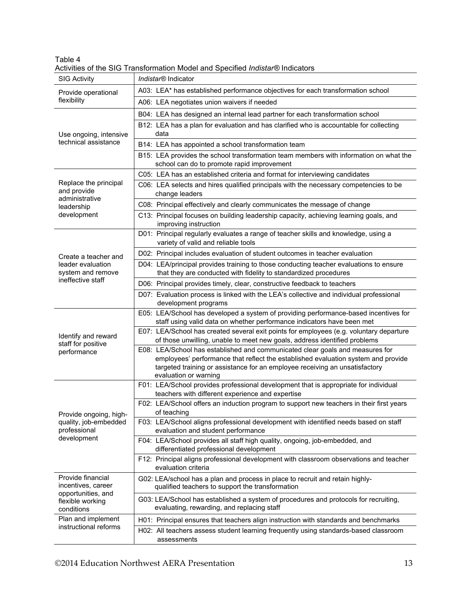|                                    | <b>Activities of the Straight Model and Specified <i>Indistan</i></b> indicators<br>Indistar <sup>®</sup> Indicator                                               |
|------------------------------------|-------------------------------------------------------------------------------------------------------------------------------------------------------------------|
| <b>SIG Activity</b>                |                                                                                                                                                                   |
| Provide operational<br>flexibility | A03: LEA* has established performance objectives for each transformation school                                                                                   |
|                                    | A06: LEA negotiates union waivers if needed                                                                                                                       |
|                                    | B04: LEA has designed an internal lead partner for each transformation school                                                                                     |
|                                    | B12: LEA has a plan for evaluation and has clarified who is accountable for collecting                                                                            |
| Use ongoing, intensive             | data                                                                                                                                                              |
| technical assistance               | B14: LEA has appointed a school transformation team                                                                                                               |
|                                    | B15: LEA provides the school transformation team members with information on what the                                                                             |
|                                    | school can do to promote rapid improvement                                                                                                                        |
| Replace the principal              | C05: LEA has an established criteria and format for interviewing candidates                                                                                       |
| and provide                        | C06: LEA selects and hires qualified principals with the necessary competencies to be<br>change leaders                                                           |
| administrative                     |                                                                                                                                                                   |
| leadership                         | C08: Principal effectively and clearly communicates the message of change                                                                                         |
| development                        | C13: Principal focuses on building leadership capacity, achieving learning goals, and<br>improving instruction                                                    |
|                                    | D01: Principal regularly evaluates a range of teacher skills and knowledge, using a                                                                               |
|                                    | variety of valid and reliable tools                                                                                                                               |
| Create a teacher and               | D02: Principal includes evaluation of student outcomes in teacher evaluation                                                                                      |
| leader evaluation                  | D04: LEA/principal provides training to those conducting teacher evaluations to ensure                                                                            |
| system and remove                  | that they are conducted with fidelity to standardized procedures                                                                                                  |
| ineffective staff                  | D06: Principal provides timely, clear, constructive feedback to teachers                                                                                          |
|                                    | D07: Evaluation process is linked with the LEA's collective and individual professional                                                                           |
|                                    | development programs                                                                                                                                              |
|                                    | E05: LEA/School has developed a system of providing performance-based incentives for                                                                              |
|                                    | staff using valid data on whether performance indicators have been met<br>E07: LEA/School has created several exit points for employees (e.g. voluntary departure |
| Identify and reward                | of those unwilling, unable to meet new goals, address identified problems                                                                                         |
| staff for positive<br>performance  | E08: LEA/School has established and communicated clear goals and measures for                                                                                     |
|                                    | employees' performance that reflect the established evaluation system and provide                                                                                 |
|                                    | targeted training or assistance for an employee receiving an unsatisfactory                                                                                       |
|                                    | evaluation or warning<br>F01: LEA/School provides professional development that is appropriate for individual                                                     |
|                                    | teachers with different experience and expertise                                                                                                                  |
|                                    | F02: LEA/School offers an induction program to support new teachers in their first years                                                                          |
| Provide ongoing, high-             | of teaching                                                                                                                                                       |
| quality, job-embedded              | F03: LEA/School aligns professional development with identified needs based on staff                                                                              |
| professional                       | evaluation and student performance                                                                                                                                |
| development                        | F04: LEA/School provides all staff high quality, ongoing, job-embedded, and                                                                                       |
|                                    | differentiated professional development                                                                                                                           |
|                                    | F12: Principal aligns professional development with classroom observations and teacher<br>evaluation criteria                                                     |
| Provide financial                  | G02: LEA/school has a plan and process in place to recruit and retain highly-                                                                                     |
| incentives, career                 | qualified teachers to support the transformation                                                                                                                  |
| opportunities, and                 | G03: LEA/School has established a system of procedures and protocols for recruiting,                                                                              |
| flexible working<br>conditions     | evaluating, rewarding, and replacing staff                                                                                                                        |
| Plan and implement                 | H01: Principal ensures that teachers align instruction with standards and benchmarks                                                                              |
| instructional reforms              | H02: All teachers assess student learning frequently using standards-based classroom                                                                              |
|                                    | assessments                                                                                                                                                       |

Table 4 Activities of the SIG Transformation Model and Specified *Indistar®* Indicators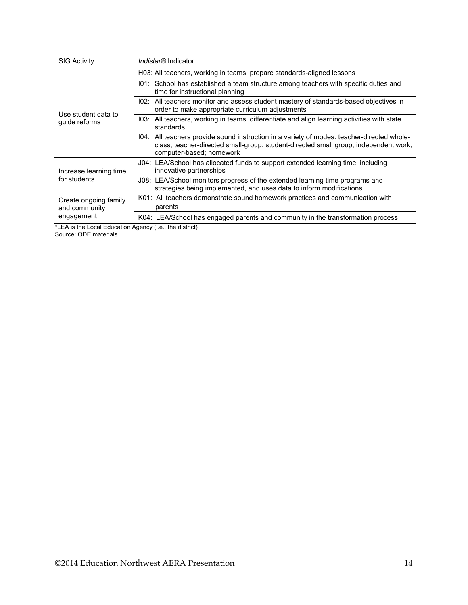| <b>SIG Activity</b>                    | Indistar <sup>®</sup> Indicator                                                                                                                                                                                |  |
|----------------------------------------|----------------------------------------------------------------------------------------------------------------------------------------------------------------------------------------------------------------|--|
|                                        | H03: All teachers, working in teams, prepare standards-aligned lessons                                                                                                                                         |  |
|                                        | 101: School has established a team structure among teachers with specific duties and<br>time for instructional planning                                                                                        |  |
| Use student data to                    | 102: All teachers monitor and assess student mastery of standards-based objectives in<br>order to make appropriate curriculum adjustments                                                                      |  |
| guide reforms                          | 103: All teachers, working in teams, differentiate and align learning activities with state<br>standards                                                                                                       |  |
|                                        | 104: All teachers provide sound instruction in a variety of modes: teacher-directed whole-<br>class; teacher-directed small-group; student-directed small group; independent work;<br>computer-based; homework |  |
| Increase learning time                 | J04: LEA/School has allocated funds to support extended learning time, including<br>innovative partnerships                                                                                                    |  |
| for students                           | J08: LEA/School monitors progress of the extended learning time programs and<br>strategies being implemented, and uses data to inform modifications                                                            |  |
| Create ongoing family<br>and community | K01: All teachers demonstrate sound homework practices and communication with<br>parents                                                                                                                       |  |
| engagement                             | K04: LEA/School has engaged parents and community in the transformation process                                                                                                                                |  |

\*LEA is the Local Education Agency (i.e., the district) Source: ODE materials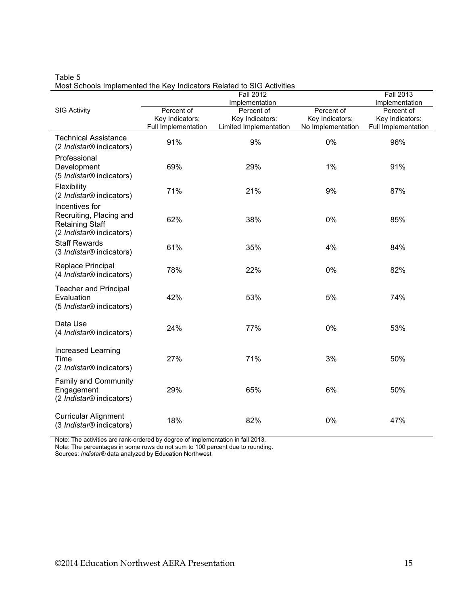|                                                                                                             |                     | <b>Fall 2012</b>       |                   | <b>Fall 2013</b>    |
|-------------------------------------------------------------------------------------------------------------|---------------------|------------------------|-------------------|---------------------|
|                                                                                                             |                     | Implementation         |                   | Implementation      |
| <b>SIG Activity</b>                                                                                         | Percent of          | Percent of             | Percent of        | Percent of          |
|                                                                                                             | Key Indicators:     | Key Indicators:        | Key Indicators:   | Key Indicators:     |
|                                                                                                             | Full Implementation | Limited Implementation | No Implementation | Full Implementation |
| <b>Technical Assistance</b><br>(2 <i>Indistar®</i> indicators)                                              | 91%                 | 9%                     | 0%                | 96%                 |
| Professional<br>Development<br>(5 Indistar® indicators)                                                     | 69%                 | 29%                    | 1%                | 91%                 |
| Flexibility<br>(2 Indistar <sup>®</sup> indicators)                                                         | 71%                 | 21%                    | 9%                | 87%                 |
| Incentives for<br>Recruiting, Placing and<br><b>Retaining Staff</b><br>(2 Indistar <sup>®</sup> indicators) | 62%                 | 38%                    | 0%                | 85%                 |
| <b>Staff Rewards</b><br>(3 Indistar <sup>®</sup> indicators)                                                | 61%                 | 35%                    | 4%                | 84%                 |
| Replace Principal<br>(4 <i>Indistar®</i> indicators)                                                        | 78%                 | 22%                    | 0%                | 82%                 |
| <b>Teacher and Principal</b><br>Evaluation<br>(5 Indistar <sup>®</sup> indicators)                          | 42%                 | 53%                    | 5%                | 74%                 |
| Data Use<br>(4 <i>Indistar®</i> indicators)                                                                 | 24%                 | 77%                    | 0%                | 53%                 |
| Increased Learning<br>Time<br>(2 <i>Indistar®</i> indicators)                                               | 27%                 | 71%                    | 3%                | 50%                 |
| Family and Community<br>Engagement<br>(2 Indistar <sup>®</sup> indicators)                                  | 29%                 | 65%                    | 6%                | 50%                 |
| <b>Curricular Alignment</b><br>(3 Indistar <sup>®</sup> indicators)                                         | 18%                 | 82%                    | 0%                | 47%                 |

Table 5 Most Schools Implemented the Key Indicators Related to SIG Activities

Note: The activities are rank-ordered by degree of implementation in fall 2013.

Note: The percentages in some rows do not sum to 100 percent due to rounding.

Sources: *Indistar®* data analyzed by Education Northwest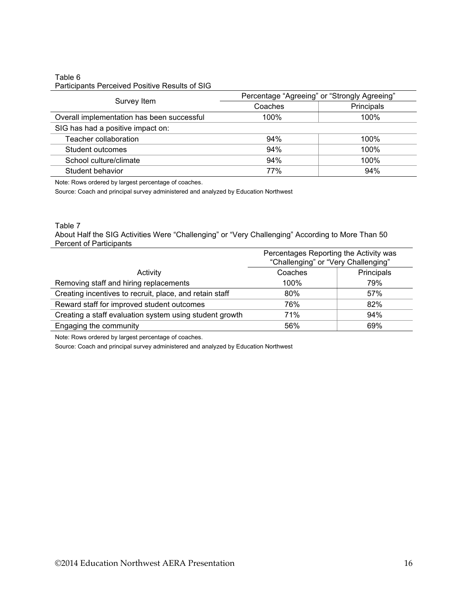#### Table 6 Participants Perceived Positive Results of SIG

| Survey Item                                | Percentage "Agreeing" or "Strongly Agreeing" |            |  |
|--------------------------------------------|----------------------------------------------|------------|--|
|                                            | Coaches                                      | Principals |  |
| Overall implementation has been successful | 100%                                         | 100%       |  |
| SIG has had a positive impact on:          |                                              |            |  |
| Teacher collaboration                      | 94%                                          | 100%       |  |
| Student outcomes                           | 94%                                          | 100%       |  |
| School culture/climate                     | 94%                                          | 100%       |  |
| Student behavior                           | 77%                                          | 94%        |  |

Note: Rows ordered by largest percentage of coaches.

Source: Coach and principal survey administered and analyzed by Education Northwest

#### Table 7

About Half the SIG Activities Were "Challenging" or "Very Challenging" According to More Than 50 Percent of Participants

|                                                         | Percentages Reporting the Activity was<br>"Challenging" or "Very Challenging" |            |
|---------------------------------------------------------|-------------------------------------------------------------------------------|------------|
| Activity                                                | Coaches                                                                       | Principals |
| Removing staff and hiring replacements                  | 100%                                                                          | 79%        |
| Creating incentives to recruit, place, and retain staff | 80%                                                                           | 57%        |
| Reward staff for improved student outcomes              | 76%                                                                           | 82%        |
| Creating a staff evaluation system using student growth | 71%                                                                           | 94%        |
| Engaging the community                                  | 56%                                                                           | 69%        |

Note: Rows ordered by largest percentage of coaches.

Source: Coach and principal survey administered and analyzed by Education Northwest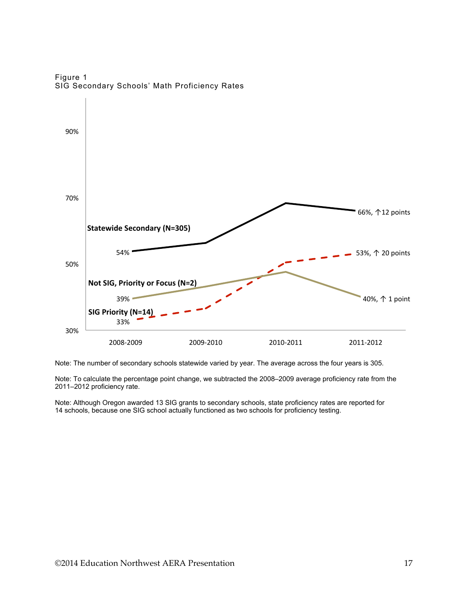

Figure 1 SIG Secondary Schools' Math Proficiency Rates

Note: The number of secondary schools statewide varied by year. The average across the four years is 305.

Note: To calculate the percentage point change, we subtracted the 2008–2009 average proficiency rate from the 2011–2012 proficiency rate.

Note: Although Oregon awarded 13 SIG grants to secondary schools, state proficiency rates are reported for 14 schools, because one SIG school actually functioned as two schools for proficiency testing.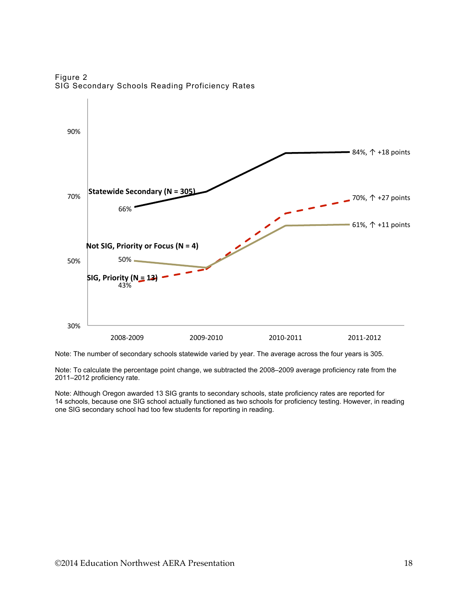Figure 2 SIG Secondary Schools Reading Proficiency Rates



Note: The number of secondary schools statewide varied by year. The average across the four years is 305.

Note: To calculate the percentage point change, we subtracted the 2008–2009 average proficiency rate from the 2011–2012 proficiency rate.

Note: Although Oregon awarded 13 SIG grants to secondary schools, state proficiency rates are reported for 14 schools, because one SIG school actually functioned as two schools for proficiency testing. However, in reading one SIG secondary school had too few students for reporting in reading.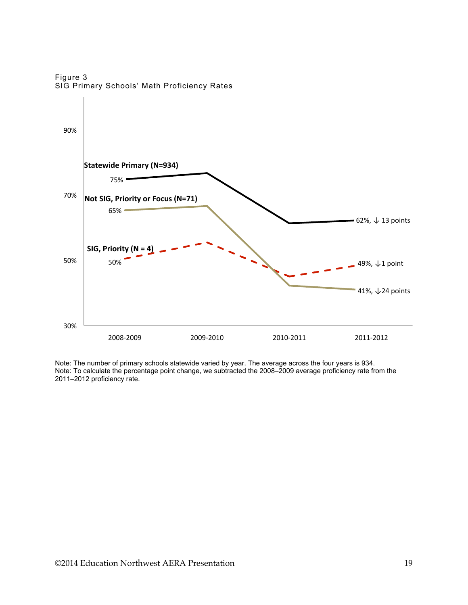Figure 3 SIG Primary Schools' Math Proficiency Rates



Note: The number of primary schools statewide varied by year. The average across the four years is 934. Note: To calculate the percentage point change, we subtracted the 2008–2009 average proficiency rate from the 2011–2012 proficiency rate.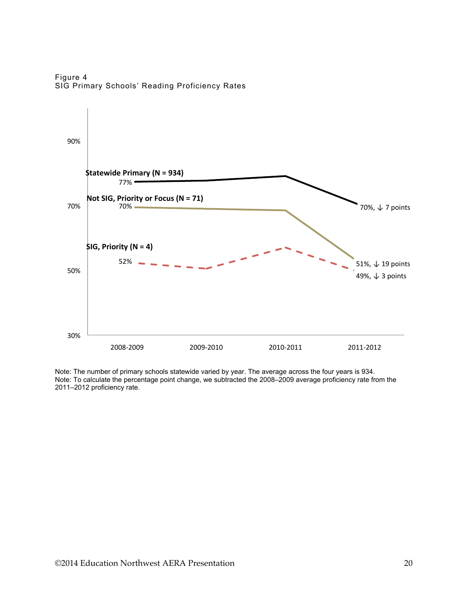Figure 4 SIG Primary Schools' Reading Proficiency Rates



Note: The number of primary schools statewide varied by year. The average across the four years is 934. Note: To calculate the percentage point change, we subtracted the 2008–2009 average proficiency rate from the 2011–2012 proficiency rate.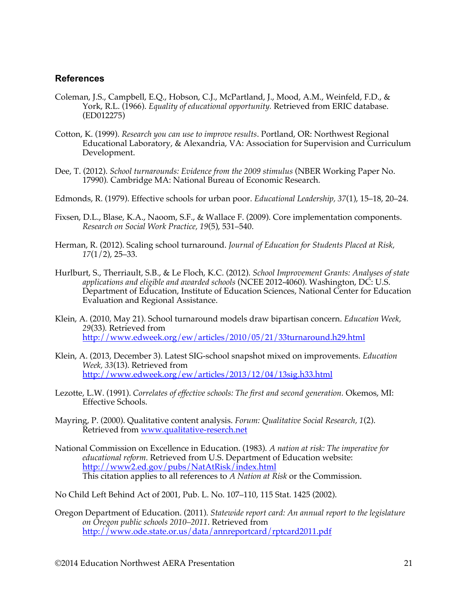#### **References**

- Coleman, J.S., Campbell, E.Q., Hobson, C.J., McPartland, J., Mood, A.M., Weinfeld, F.D., & York, R.L. (1966). *Equality of educational opportunity.* Retrieved from ERIC database. (ED012275)
- Cotton, K. (1999). *Research you can use to improve results*. Portland, OR: Northwest Regional Educational Laboratory, & Alexandria, VA: Association for Supervision and Curriculum Development.
- Dee, T. (2012). *School turnarounds: Evidence from the 2009 stimulus* (NBER Working Paper No. 17990)*.* Cambridge MA: National Bureau of Economic Research.
- Edmonds, R. (1979). Effective schools for urban poor. *Educational Leadership, 37*(1), 15–18, 20–24.
- Fixsen, D.L., Blase, K.A., Naoom, S.F., & Wallace F. (2009). Core implementation components. *Research on Social Work Practice, 19*(5), 531–540.
- Herman, R. (2012). Scaling school turnaround. *Journal of Education for Students Placed at Risk, 17*(1/2), 25–33.
- Hurlburt, S., Therriault, S.B., & Le Floch, K.C. (2012). *School Improvement Grants: Analyses of state applications and eligible and awarded schools* (NCEE 2012-4060). Washington, DC: U.S. Department of Education, Institute of Education Sciences, National Center for Education Evaluation and Regional Assistance.
- Klein, A. (2010, May 21). School turnaround models draw bipartisan concern. *Education Week, 29*(33)*.* Retrieved from http://www.edweek.org/ew/articles/2010/05/21/33turnaround.h29.html
- Klein, A. (2013, December 3). Latest SIG-school snapshot mixed on improvements. *Education Week, 33*(13). Retrieved from http://www.edweek.org/ew/articles/2013/12/04/13sig.h33.html
- Lezotte, L.W. (1991). *Correlates of effective schools: The first and second generation.* Okemos, MI: Effective Schools.
- Mayring, P. (2000). Qualitative content analysis. *Forum: Qualitative Social Research, 1*(2). Retrieved from www.qualitative-reserch.net
- National Commission on Excellence in Education. (1983). *A nation at risk: The imperative for educational reform.* Retrieved from U.S. Department of Education website: http://www2.ed.gov/pubs/NatAtRisk/index.html This citation applies to all references to *A Nation at Risk* or the Commission.
- No Child Left Behind Act of 2001, Pub. L. No. 107–110, 115 Stat. 1425 (2002).
- Oregon Department of Education. (2011). *Statewide report card: An annual report to the legislature on Oregon public schools 2010–2011*. Retrieved from http://www.ode.state.or.us/data/annreportcard/rptcard2011.pdf